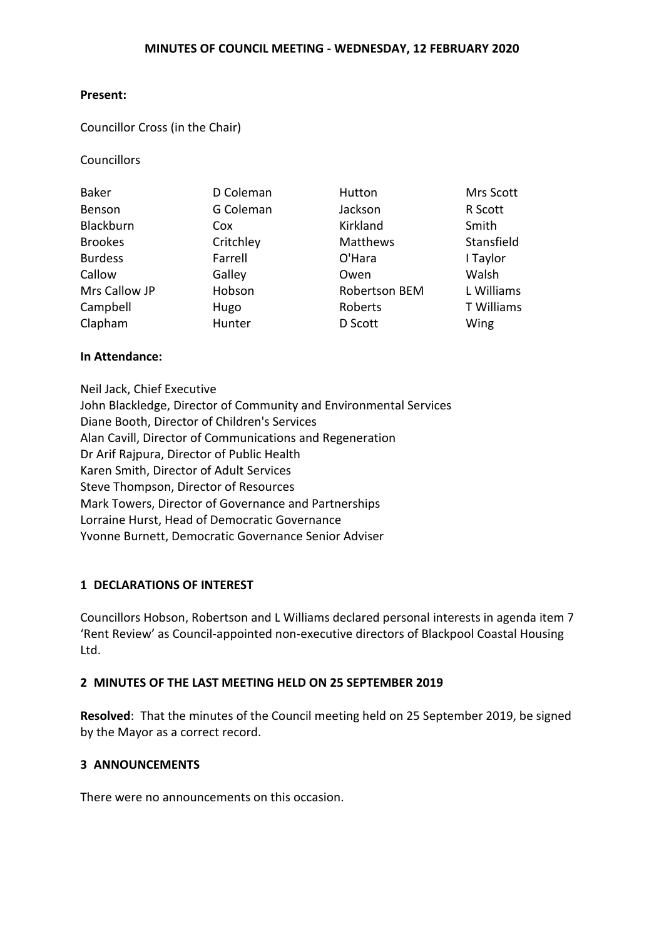#### **Present:**

#### Councillor Cross (in the Chair)

**Councillors** 

| <b>Baker</b>   | D Coleman | Hutton        | Mrs Scott  |
|----------------|-----------|---------------|------------|
| Benson         | G Coleman | Jackson       | R Scott    |
| Blackburn      | Cox       | Kirkland      | Smith      |
| <b>Brookes</b> | Critchley | Matthews      | Stansfield |
| <b>Burdess</b> | Farrell   | O'Hara        | I Taylor   |
| Callow         | Galley    | Owen          | Walsh      |
| Mrs Callow JP  | Hobson    | Robertson BEM | L Williams |
| Campbell       | Hugo      | Roberts       | T Williams |
| Clapham        | Hunter    | D Scott       | Wing       |

#### **In Attendance:**

Neil Jack, Chief Executive John Blackledge, Director of Community and Environmental Services Diane Booth, Director of Children's Services Alan Cavill, Director of Communications and Regeneration Dr Arif Rajpura, Director of Public Health Karen Smith, Director of Adult Services Steve Thompson, Director of Resources Mark Towers, Director of Governance and Partnerships Lorraine Hurst, Head of Democratic Governance Yvonne Burnett, Democratic Governance Senior Adviser

### **1 DECLARATIONS OF INTEREST**

Councillors Hobson, Robertson and L Williams declared personal interests in agenda item 7 'Rent Review' as Council-appointed non-executive directors of Blackpool Coastal Housing Ltd.

#### **2 MINUTES OF THE LAST MEETING HELD ON 25 SEPTEMBER 2019**

**Resolved**: That the minutes of the Council meeting held on 25 September 2019, be signed by the Mayor as a correct record.

### **3 ANNOUNCEMENTS**

There were no announcements on this occasion.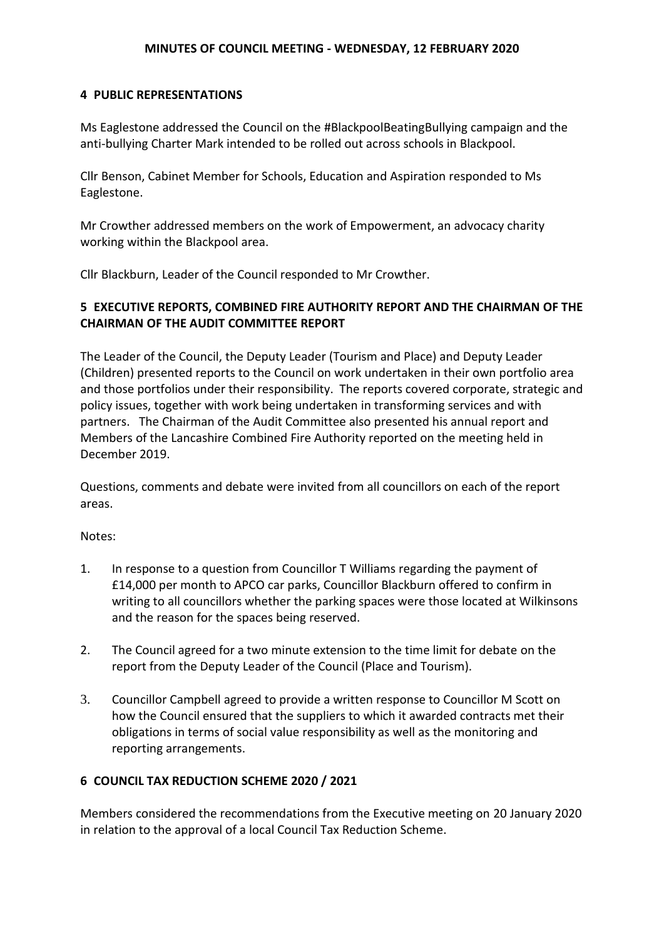# **4 PUBLIC REPRESENTATIONS**

Ms Eaglestone addressed the Council on the #BlackpoolBeatingBullying campaign and the anti-bullying Charter Mark intended to be rolled out across schools in Blackpool.

Cllr Benson, Cabinet Member for Schools, Education and Aspiration responded to Ms Eaglestone.

Mr Crowther addressed members on the work of Empowerment, an advocacy charity working within the Blackpool area.

Cllr Blackburn, Leader of the Council responded to Mr Crowther.

# **5 EXECUTIVE REPORTS, COMBINED FIRE AUTHORITY REPORT AND THE CHAIRMAN OF THE CHAIRMAN OF THE AUDIT COMMITTEE REPORT**

The Leader of the Council, the Deputy Leader (Tourism and Place) and Deputy Leader (Children) presented reports to the Council on work undertaken in their own portfolio area and those portfolios under their responsibility. The reports covered corporate, strategic and policy issues, together with work being undertaken in transforming services and with partners. The Chairman of the Audit Committee also presented his annual report and Members of the Lancashire Combined Fire Authority reported on the meeting held in December 2019.

Questions, comments and debate were invited from all councillors on each of the report areas.

### Notes:

- 1. In response to a question from Councillor T Williams regarding the payment of £14,000 per month to APCO car parks, Councillor Blackburn offered to confirm in writing to all councillors whether the parking spaces were those located at Wilkinsons and the reason for the spaces being reserved.
- 2. The Council agreed for a two minute extension to the time limit for debate on the report from the Deputy Leader of the Council (Place and Tourism).
- 3. Councillor Campbell agreed to provide a written response to Councillor M Scott on how the Council ensured that the suppliers to which it awarded contracts met their obligations in terms of social value responsibility as well as the monitoring and reporting arrangements.

# **6 COUNCIL TAX REDUCTION SCHEME 2020 / 2021**

Members considered the recommendations from the Executive meeting on 20 January 2020 in relation to the approval of a local Council Tax Reduction Scheme.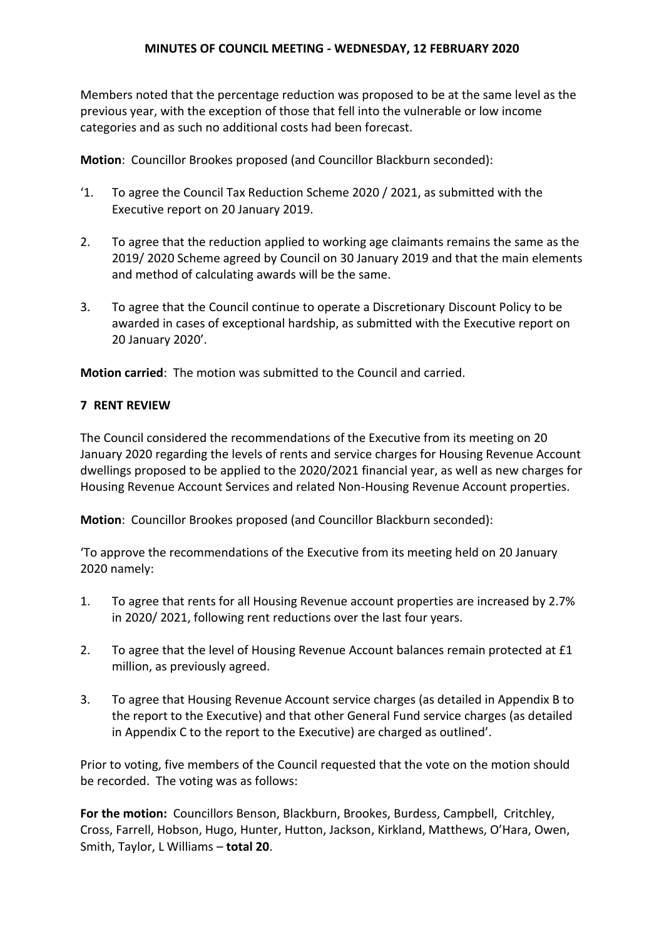Members noted that the percentage reduction was proposed to be at the same level as the previous year, with the exception of those that fell into the vulnerable or low income categories and as such no additional costs had been forecast.

**Motion**: Councillor Brookes proposed (and Councillor Blackburn seconded):

- '1. To agree the Council Tax Reduction Scheme 2020 / 2021, as submitted with the Executive report on 20 January 2019.
- 2. To agree that the reduction applied to working age claimants remains the same as the 2019/ 2020 Scheme agreed by Council on 30 January 2019 and that the main elements and method of calculating awards will be the same.
- 3. To agree that the Council continue to operate a Discretionary Discount Policy to be awarded in cases of exceptional hardship, as submitted with the Executive report on 20 January 2020'.

**Motion carried**: The motion was submitted to the Council and carried.

# **7 RENT REVIEW**

The Council considered the recommendations of the Executive from its meeting on 20 January 2020 regarding the levels of rents and service charges for Housing Revenue Account dwellings proposed to be applied to the 2020/2021 financial year, as well as new charges for Housing Revenue Account Services and related Non-Housing Revenue Account properties.

**Motion**: Councillor Brookes proposed (and Councillor Blackburn seconded):

'To approve the recommendations of the Executive from its meeting held on 20 January 2020 namely:

- 1. To agree that rents for all Housing Revenue account properties are increased by 2.7% in 2020/ 2021, following rent reductions over the last four years.
- 2. To agree that the level of Housing Revenue Account balances remain protected at £1 million, as previously agreed.
- 3. To agree that Housing Revenue Account service charges (as detailed in Appendix B to the report to the Executive) and that other General Fund service charges (as detailed in Appendix C to the report to the Executive) are charged as outlined'.

Prior to voting, five members of the Council requested that the vote on the motion should be recorded. The voting was as follows:

**For the motion:** Councillors Benson, Blackburn, Brookes, Burdess, Campbell, Critchley, Cross, Farrell, Hobson, Hugo, Hunter, Hutton, Jackson, Kirkland, Matthews, O'Hara, Owen, Smith, Taylor, L Williams – **total 20**.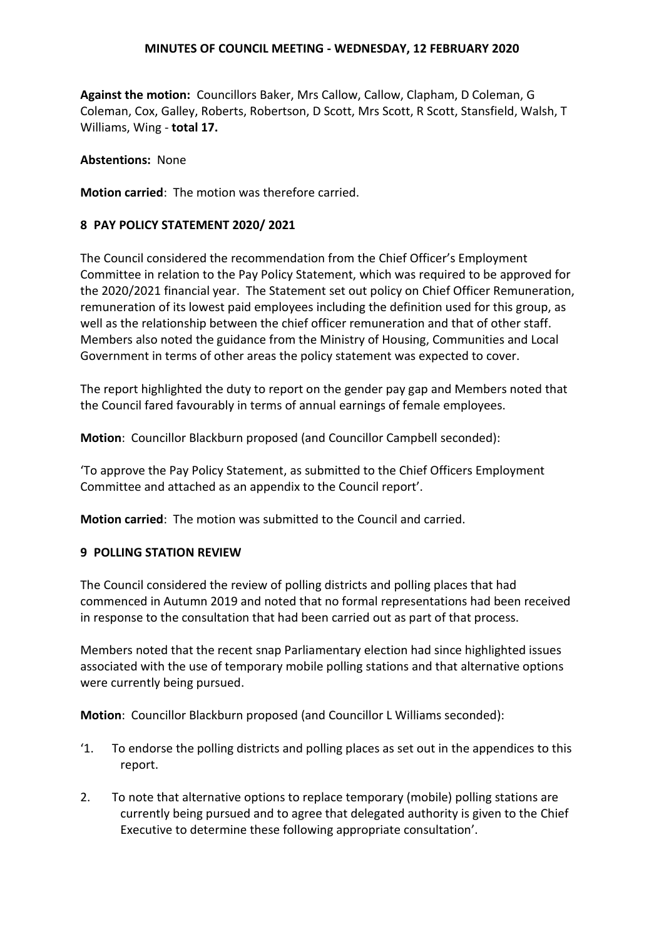**Against the motion:** Councillors Baker, Mrs Callow, Callow, Clapham, D Coleman, G Coleman, Cox, Galley, Roberts, Robertson, D Scott, Mrs Scott, R Scott, Stansfield, Walsh, T Williams, Wing - **total 17.**

**Abstentions:** None

**Motion carried**: The motion was therefore carried.

#### **8 PAY POLICY STATEMENT 2020/ 2021**

The Council considered the recommendation from the Chief Officer's Employment Committee in relation to the Pay Policy Statement, which was required to be approved for the 2020/2021 financial year. The Statement set out policy on Chief Officer Remuneration, remuneration of its lowest paid employees including the definition used for this group, as well as the relationship between the chief officer remuneration and that of other staff. Members also noted the guidance from the Ministry of Housing, Communities and Local Government in terms of other areas the policy statement was expected to cover.

The report highlighted the duty to report on the gender pay gap and Members noted that the Council fared favourably in terms of annual earnings of female employees.

**Motion**: Councillor Blackburn proposed (and Councillor Campbell seconded):

'To approve the Pay Policy Statement, as submitted to the Chief Officers Employment Committee and attached as an appendix to the Council report'.

**Motion carried**: The motion was submitted to the Council and carried.

#### **9 POLLING STATION REVIEW**

The Council considered the review of polling districts and polling places that had commenced in Autumn 2019 and noted that no formal representations had been received in response to the consultation that had been carried out as part of that process.

Members noted that the recent snap Parliamentary election had since highlighted issues associated with the use of temporary mobile polling stations and that alternative options were currently being pursued.

**Motion**: Councillor Blackburn proposed (and Councillor L Williams seconded):

- '1. To endorse the polling districts and polling places as set out in the appendices to this report.
- 2. To note that alternative options to replace temporary (mobile) polling stations are currently being pursued and to agree that delegated authority is given to the Chief Executive to determine these following appropriate consultation'.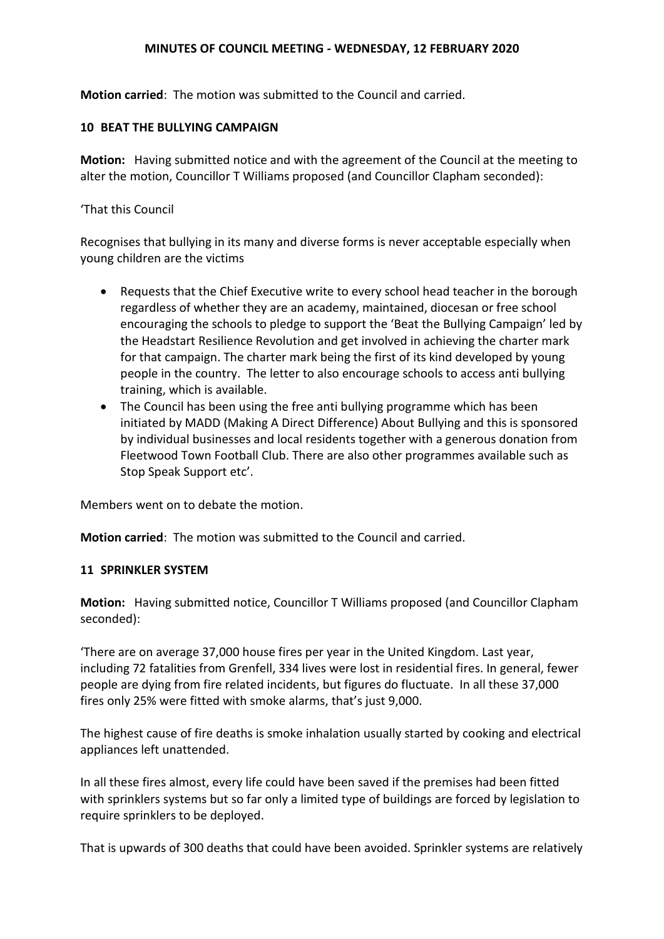**Motion carried**: The motion was submitted to the Council and carried.

### **10 BEAT THE BULLYING CAMPAIGN**

**Motion:** Having submitted notice and with the agreement of the Council at the meeting to alter the motion, Councillor T Williams proposed (and Councillor Clapham seconded):

### 'That this Council

Recognises that bullying in its many and diverse forms is never acceptable especially when young children are the victims

- Requests that the Chief Executive write to every school head teacher in the borough regardless of whether they are an academy, maintained, diocesan or free school encouraging the schools to pledge to support the 'Beat the Bullying Campaign' led by the Headstart Resilience Revolution and get involved in achieving the charter mark for that campaign. The charter mark being the first of its kind developed by young people in the country. The letter to also encourage schools to access anti bullying training, which is available.
- The Council has been using the free anti bullying programme which has been initiated by MADD (Making A Direct Difference) About Bullying and this is sponsored by individual businesses and local residents together with a generous donation from Fleetwood Town Football Club. There are also other programmes available such as Stop Speak Support etc'.

Members went on to debate the motion.

**Motion carried**: The motion was submitted to the Council and carried.

### **11 SPRINKLER SYSTEM**

**Motion:** Having submitted notice, Councillor T Williams proposed (and Councillor Clapham seconded):

'There are on average 37,000 house fires per year in the United Kingdom. Last year, including 72 fatalities from Grenfell, 334 lives were lost in residential fires. In general, fewer people are dying from fire related incidents, but figures do fluctuate. In all these 37,000 fires only 25% were fitted with smoke alarms, that's just 9,000.

The highest cause of fire deaths is smoke inhalation usually started by cooking and electrical appliances left unattended.

In all these fires almost, every life could have been saved if the premises had been fitted with sprinklers systems but so far only a limited type of buildings are forced by legislation to require sprinklers to be deployed.

That is upwards of 300 deaths that could have been avoided. Sprinkler systems are relatively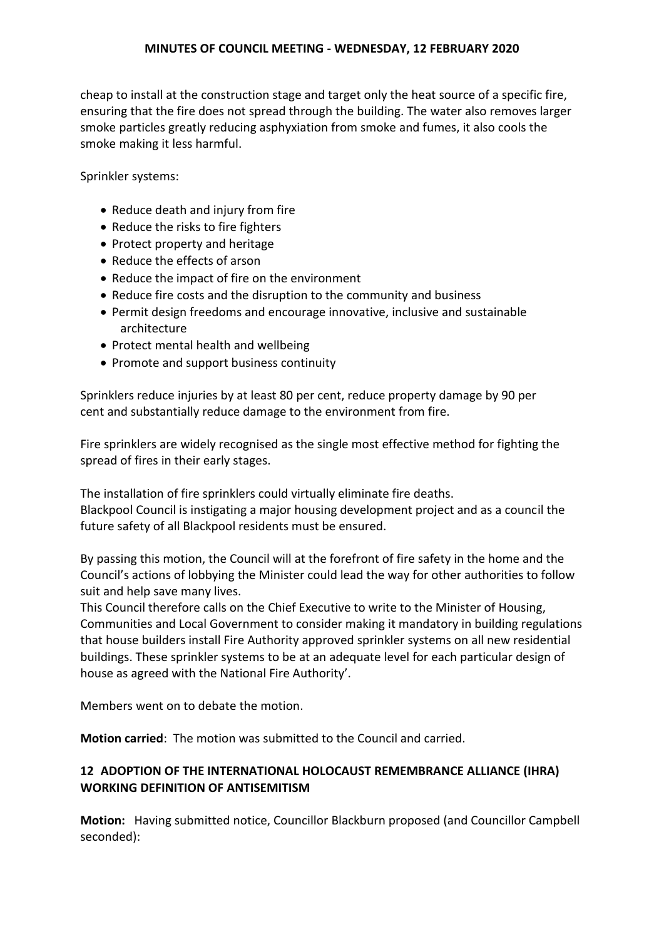cheap to install at the construction stage and target only the heat source of a specific fire, ensuring that the fire does not spread through the building. The water also removes larger smoke particles greatly reducing asphyxiation from smoke and fumes, it also cools the smoke making it less harmful.

Sprinkler systems:

- Reduce death and injury from fire
- Reduce the risks to fire fighters
- Protect property and heritage
- Reduce the effects of arson
- Reduce the impact of fire on the environment
- Reduce fire costs and the disruption to the community and business
- Permit design freedoms and encourage innovative, inclusive and sustainable architecture
- Protect mental health and wellbeing
- Promote and support business continuity

Sprinklers reduce injuries by at least 80 per cent, reduce property damage by 90 per cent and substantially reduce damage to the environment from fire.

Fire sprinklers are widely recognised as the single most effective method for fighting the spread of fires in their early stages.

The installation of fire sprinklers could virtually eliminate fire deaths. Blackpool Council is instigating a major housing development project and as a council the future safety of all Blackpool residents must be ensured.

By passing this motion, the Council will at the forefront of fire safety in the home and the Council's actions of lobbying the Minister could lead the way for other authorities to follow suit and help save many lives.

This Council therefore calls on the Chief Executive to write to the Minister of Housing, Communities and Local Government to consider making it mandatory in building regulations that house builders install Fire Authority approved sprinkler systems on all new residential buildings. These sprinkler systems to be at an adequate level for each particular design of house as agreed with the National Fire Authority'.

Members went on to debate the motion.

**Motion carried**: The motion was submitted to the Council and carried.

# **12 ADOPTION OF THE INTERNATIONAL HOLOCAUST REMEMBRANCE ALLIANCE (IHRA) WORKING DEFINITION OF ANTISEMITISM**

**Motion:** Having submitted notice, Councillor Blackburn proposed (and Councillor Campbell seconded):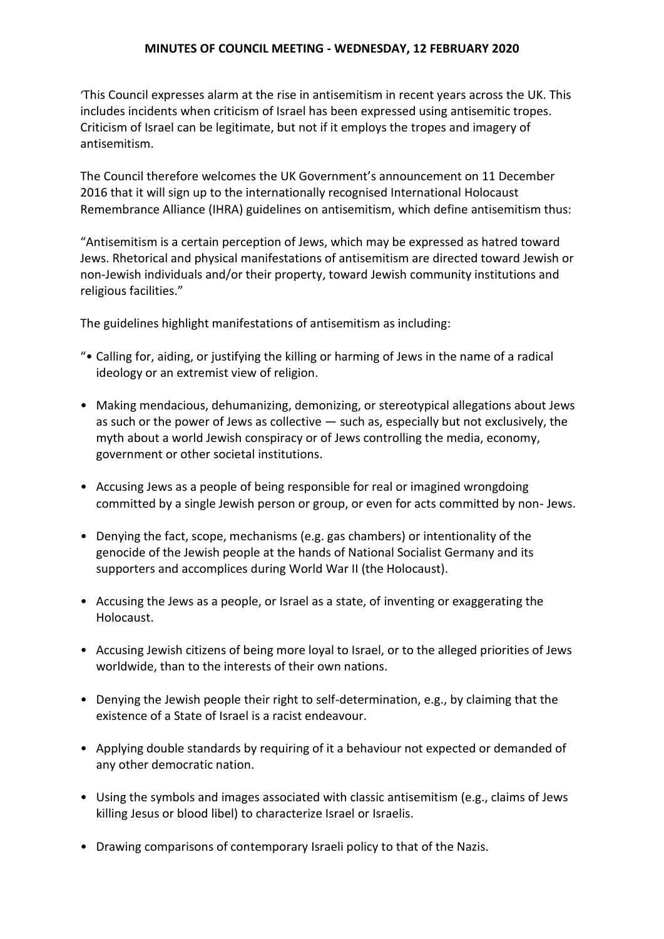'This Council expresses alarm at the rise in antisemitism in recent years across the UK. This includes incidents when criticism of Israel has been expressed using antisemitic tropes. Criticism of Israel can be legitimate, but not if it employs the tropes and imagery of antisemitism.

The Council therefore welcomes the UK Government's announcement on 11 December 2016 that it will sign up to the internationally recognised International Holocaust Remembrance Alliance (IHRA) guidelines on antisemitism, which define antisemitism thus:

"Antisemitism is a certain perception of Jews, which may be expressed as hatred toward Jews. Rhetorical and physical manifestations of antisemitism are directed toward Jewish or non-Jewish individuals and/or their property, toward Jewish community institutions and religious facilities."

The guidelines highlight manifestations of antisemitism as including:

- "• Calling for, aiding, or justifying the killing or harming of Jews in the name of a radical ideology or an extremist view of religion.
- Making mendacious, dehumanizing, demonizing, or stereotypical allegations about Jews as such or the power of Jews as collective — such as, especially but not exclusively, the myth about a world Jewish conspiracy or of Jews controlling the media, economy, government or other societal institutions.
- Accusing Jews as a people of being responsible for real or imagined wrongdoing committed by a single Jewish person or group, or even for acts committed by non- Jews.
- Denying the fact, scope, mechanisms (e.g. gas chambers) or intentionality of the genocide of the Jewish people at the hands of National Socialist Germany and its supporters and accomplices during World War II (the Holocaust).
- Accusing the Jews as a people, or Israel as a state, of inventing or exaggerating the Holocaust.
- Accusing Jewish citizens of being more loyal to Israel, or to the alleged priorities of Jews worldwide, than to the interests of their own nations.
- Denying the Jewish people their right to self-determination, e.g., by claiming that the existence of a State of Israel is a racist endeavour.
- Applying double standards by requiring of it a behaviour not expected or demanded of any other democratic nation.
- Using the symbols and images associated with classic antisemitism (e.g., claims of Jews killing Jesus or blood libel) to characterize Israel or Israelis.
- Drawing comparisons of contemporary Israeli policy to that of the Nazis.